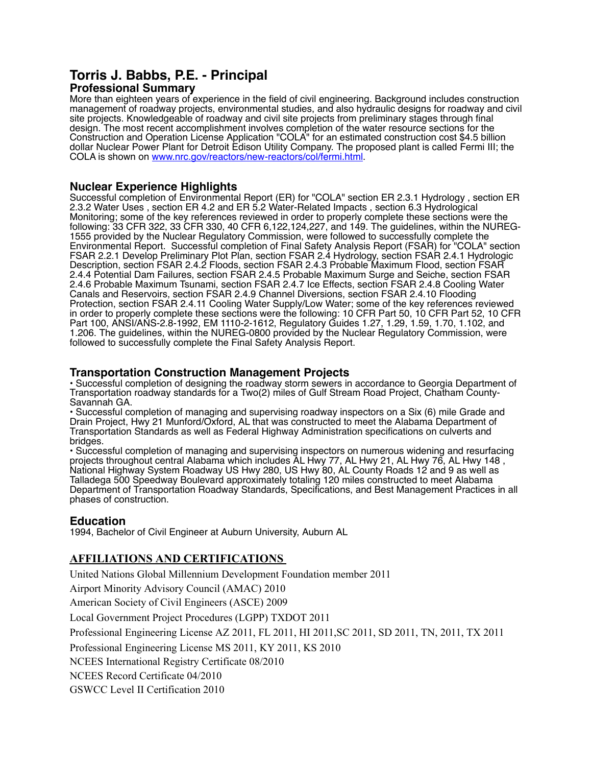# **Torris J. Babbs, P.E. - Principal**

# **Professional Summary**

More than eighteen years of experience in the field of civil engineering. Background includes construction management of roadway projects, environmental studies, and also hydraulic designs for roadway and civil site projects. Knowledgeable of roadway and civil site projects from preliminary stages through final design. The most recent accomplishment involves completion of the water resource sections for the Construction and Operation License Application "COLA" for an estimated construction cost \$4.5 billion dollar Nuclear Power Plant for Detroit Edison Utility Company. The proposed plant is called Fermi III; the COLA is shown on [www.nrc.gov/reactors/new-reactors/col/fermi.html.](http://www.nrc.gov/reactors/new-reactors/col/fermi.html)

# **Nuclear Experience Highlights**

Successful completion of Environmental Report (ER) for "COLA" section ER 2.3.1 Hydrology , section ER 2.3.2 Water Uses , section ER 4.2 and ER 5.2 Water-Related Impacts , section 6.3 Hydrological Monitoring; some of the key references reviewed in order to properly complete these sections were the following: 33 CFR 322, 33 CFR 330, 40 CFR 6,122,124,227, and 149. The guidelines, within the NUREG-1555 provided by the Nuclear Regulatory Commission, were followed to successfully complete the Environmental Report. Successful completion of Final Safety Analysis Report (FSAR) for "COLA" section FSAR 2.2.1 Develop Preliminary Plot Plan, section FSAR 2.4 Hydrology, section FSAR 2.4.1 Hydrologic Description, section FSAR 2.4.2 Floods, section FSAR 2.4.3 Probable Maximum Flood, section FSAR 2.4.4 Potential Dam Failures, section FSAR 2.4.5 Probable Maximum Surge and Seiche, section FSAR 2.4.6 Probable Maximum Tsunami, section FSAR 2.4.7 Ice Effects, section FSAR 2.4.8 Cooling Water Canals and Reservoirs, section FSAR 2.4.9 Channel Diversions, section FSAR 2.4.10 Flooding Protection, section FSAR 2.4.11 Cooling Water Supply/Low Water; some of the key references reviewed in order to properly complete these sections were the following: 10 CFR Part 50, 10 CFR Part 52, 10 CFR Part 100, ANSI/ANS-2.8-1992, EM 1110-2-1612, Regulatory Guides 1.27, 1.29, 1.59, 1.70, 1.102, and 1.206. The guidelines, within the NUREG-0800 provided by the Nuclear Regulatory Commission, were followed to successfully complete the Final Safety Analysis Report.

#### **Transportation Construction Management Projects**

• Successful completion of designing the roadway storm sewers in accordance to Georgia Department of Transportation roadway standards for a Two(2) miles of Gulf Stream Road Project, Chatham County-Savannah GA.

• Successful completion of managing and supervising roadway inspectors on a Six (6) mile Grade and Drain Project, Hwy 21 Munford/Oxford, AL that was constructed to meet the Alabama Department of Transportation Standards as well as Federal Highway Administration specifications on culverts and bridges.

• Successful completion of managing and supervising inspectors on numerous widening and resurfacing projects throughout central Alabama which includes AL Hwy 77, AL Hwy 21, AL Hwy 76, AL Hwy 148 , National Highway System Roadway US Hwy 280, US Hwy 80, AL County Roads 12 and 9 as well as Talladega 500 Speedway Boulevard approximately totaling 120 miles constructed to meet Alabama Department of Transportation Roadway Standards, Specifications, and Best Management Practices in all phases of construction.

# **Education**

1994, Bachelor of Civil Engineer at Auburn University, Auburn AL

# **AFFILIATIONS AND CERTIFICATIONS**

United Nations Global Millennium Development Foundation member 2011

Airport Minority Advisory Council (AMAC) 2010

American Society of Civil Engineers (ASCE) 2009

Local Government Project Procedures (LGPP) TXDOT 2011

Professional Engineering License AZ 2011, FL 2011, HI 2011,SC 2011, SD 2011, TN, 2011, TX 2011

Professional Engineering License MS 2011, KY 2011, KS 2010

NCEES International Registry Certificate 08/2010

NCEES Record Certificate 04/2010

GSWCC Level II Certification 2010